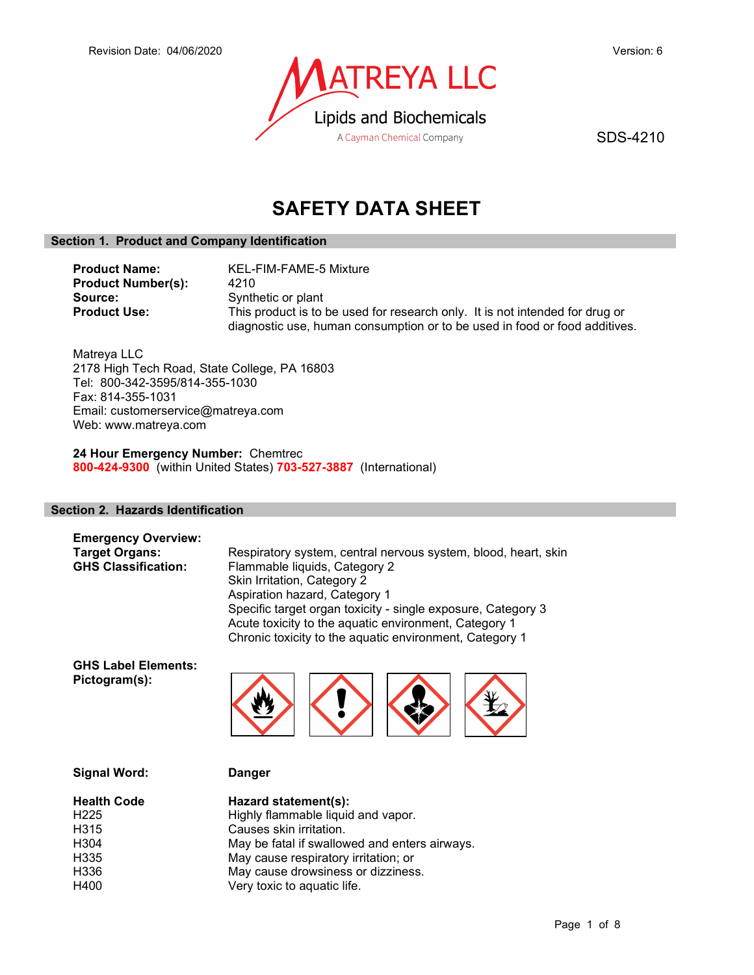

SDS-4210

# SAFETY DATA SHEET

# Section 1. Product and Company Identification

| <b>Product Name:</b>      | KEL-FIM-FAME-5 Mixture                                                       |
|---------------------------|------------------------------------------------------------------------------|
| <b>Product Number(s):</b> | 4210                                                                         |
| Source:                   | Synthetic or plant                                                           |
| <b>Product Use:</b>       | This product is to be used for research only. It is not intended for drug or |
|                           | diagnostic use, human consumption or to be used in food or food additives.   |

Matreya LLC 2178 High Tech Road, State College, PA 16803 Tel: 800-342-3595/814-355-1030 Fax: 814-355-1031 Email: customerservice@matreya.com Web: www.matreya.com

24 Hour Emergency Number: Chemtrec 800-424-9300 (within United States) 703-527-3887 (International)

# Section 2. Hazards Identification

| <b>Emergency Overview:</b> |                                                                |
|----------------------------|----------------------------------------------------------------|
| <b>Target Organs:</b>      | Respiratory system, central nervous system, blood, heart, skin |
| <b>GHS Classification:</b> | Flammable liquids, Category 2                                  |
|                            | Skin Irritation, Category 2                                    |
|                            | Aspiration hazard, Category 1                                  |
|                            | Specific target organ toxicity - single exposure, Category 3   |
|                            | Acute toxicity to the aquatic environment, Category 1          |

GHS Label Elements: Pictogram(s):



Chronic toxicity to the aquatic environment, Category 1

|  | <b>Signal Word:</b> |
|--|---------------------|
|--|---------------------|

Danger

| <b>Health Code</b> | Hazard statement(s):                          |
|--------------------|-----------------------------------------------|
| H <sub>225</sub>   | Highly flammable liquid and vapor.            |
| H315               | Causes skin irritation.                       |
| H304               | May be fatal if swallowed and enters airways. |
| H335               | May cause respiratory irritation; or          |
| H336               | May cause drowsiness or dizziness.            |
| H400               | Very toxic to aquatic life.                   |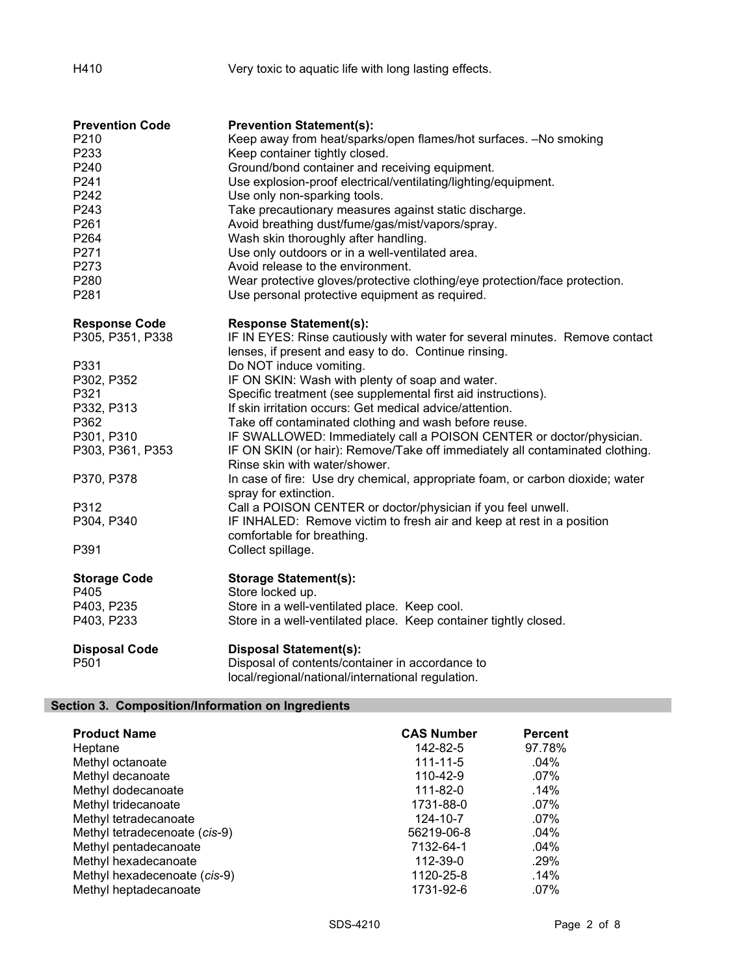# H410 Very toxic to aquatic life with long lasting effects.

| <b>Prevention Code</b> | <b>Prevention Statement(s):</b>                                                                               |
|------------------------|---------------------------------------------------------------------------------------------------------------|
| P210                   | Keep away from heat/sparks/open flames/hot surfaces. -No smoking                                              |
| P233                   | Keep container tightly closed.                                                                                |
| P240                   | Ground/bond container and receiving equipment.                                                                |
| P241                   | Use explosion-proof electrical/ventilating/lighting/equipment.                                                |
| P242                   | Use only non-sparking tools.                                                                                  |
| P243                   | Take precautionary measures against static discharge.                                                         |
| P261                   | Avoid breathing dust/fume/gas/mist/vapors/spray.                                                              |
| P264                   | Wash skin thoroughly after handling.                                                                          |
| P271                   | Use only outdoors or in a well-ventilated area.                                                               |
| P273                   | Avoid release to the environment.                                                                             |
| P280                   | Wear protective gloves/protective clothing/eye protection/face protection.                                    |
| P281                   | Use personal protective equipment as required.                                                                |
| <b>Response Code</b>   | <b>Response Statement(s):</b>                                                                                 |
| P305, P351, P338       | IF IN EYES: Rinse cautiously with water for several minutes. Remove contact                                   |
|                        | lenses, if present and easy to do. Continue rinsing.                                                          |
| P331                   | Do NOT induce vomiting.                                                                                       |
| P302, P352             | IF ON SKIN: Wash with plenty of soap and water.                                                               |
| P321                   | Specific treatment (see supplemental first aid instructions).                                                 |
| P332, P313             | If skin irritation occurs: Get medical advice/attention.                                                      |
| P362                   | Take off contaminated clothing and wash before reuse.                                                         |
| P301, P310             | IF SWALLOWED: Immediately call a POISON CENTER or doctor/physician.                                           |
| P303, P361, P353       | IF ON SKIN (or hair): Remove/Take off immediately all contaminated clothing.<br>Rinse skin with water/shower. |
| P370, P378             | In case of fire: Use dry chemical, appropriate foam, or carbon dioxide; water<br>spray for extinction.        |
| P312                   | Call a POISON CENTER or doctor/physician if you feel unwell.                                                  |
| P304, P340             | IF INHALED: Remove victim to fresh air and keep at rest in a position                                         |
|                        | comfortable for breathing.                                                                                    |
| P391                   | Collect spillage.                                                                                             |
| <b>Storage Code</b>    | <b>Storage Statement(s):</b>                                                                                  |
| P405                   | Store locked up.                                                                                              |
| P403, P235             | Store in a well-ventilated place. Keep cool.                                                                  |
| P403, P233             | Store in a well-ventilated place. Keep container tightly closed.                                              |
| <b>Disposal Code</b>   | <b>Disposal Statement(s):</b>                                                                                 |
| P501                   | Disposal of contents/container in accordance to                                                               |
|                        | local/regional/national/international regulation.                                                             |

# Section 3. Composition/Information on Ingredients

| <b>Product Name</b>           | <b>CAS Number</b> | <b>Percent</b> |
|-------------------------------|-------------------|----------------|
| Heptane                       | 142-82-5          | 97.78%         |
| Methyl octanoate              | $111 - 11 - 5$    | $.04\%$        |
| Methyl decanoate              | 110-42-9          | $.07\%$        |
| Methyl dodecanoate            | $111 - 82 - 0$    | $.14\%$        |
| Methyl tridecanoate           | 1731-88-0         | $.07\%$        |
| Methyl tetradecanoate         | 124-10-7          | $.07\%$        |
| Methyl tetradecenoate (cis-9) | 56219-06-8        | $.04\%$        |
| Methyl pentadecanoate         | 7132-64-1         | $.04\%$        |
| Methyl hexadecanoate          | 112-39-0          | .29%           |
| Methyl hexadecenoate (cis-9)  | 1120-25-8         | $.14\%$        |
| Methyl heptadecanoate         | 1731-92-6         | $.07\%$        |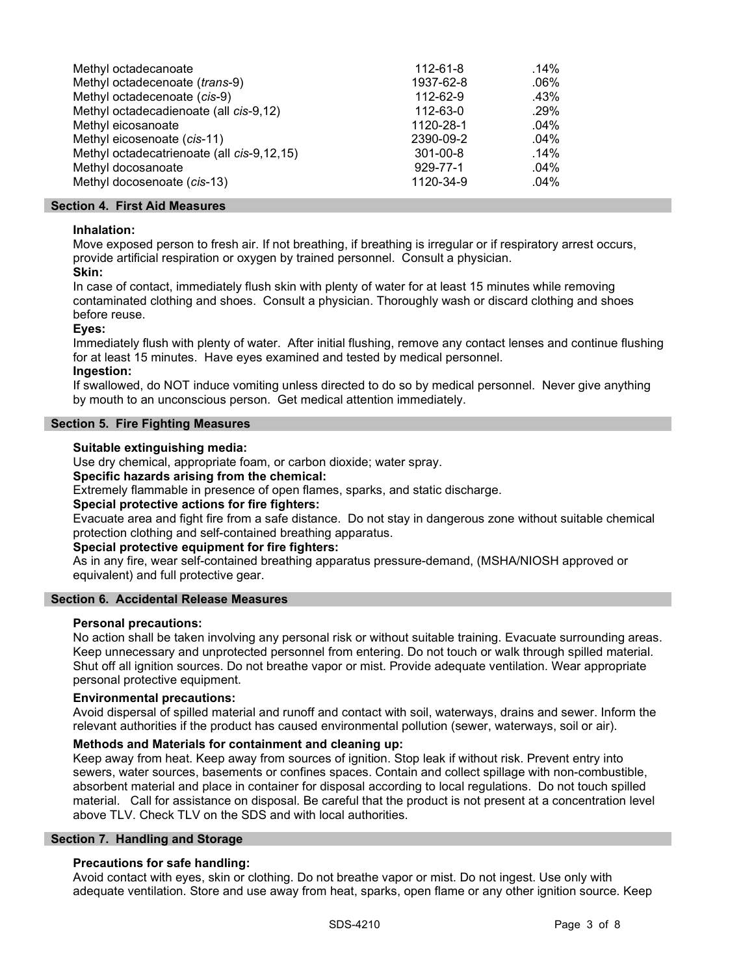| Methyl octadecanoate                       | 112-61-8  | $.14\%$ |
|--------------------------------------------|-----------|---------|
| Methyl octadecenoate (trans-9)             | 1937-62-8 | $.06\%$ |
| Methyl octadecenoate (cis-9)               | 112-62-9  | .43%    |
| Methyl octadecadienoate (all cis-9,12)     | 112-63-0  | .29%    |
| Methyl eicosanoate                         | 1120-28-1 | $.04\%$ |
| Methyl eicosenoate (cis-11)                | 2390-09-2 | $.04\%$ |
| Methyl octadecatrienoate (all cis-9,12,15) | 301-00-8  | .14%    |
| Methyl docosanoate                         | 929-77-1  | $.04\%$ |
| Methyl docosenoate (cis-13)                | 1120-34-9 | $.04\%$ |

# Section 4. First Aid Measures

# Inhalation:

Move exposed person to fresh air. If not breathing, if breathing is irregular or if respiratory arrest occurs, provide artificial respiration or oxygen by trained personnel. Consult a physician.

# Skin:

In case of contact, immediately flush skin with plenty of water for at least 15 minutes while removing contaminated clothing and shoes. Consult a physician. Thoroughly wash or discard clothing and shoes before reuse.

# Eyes:

Immediately flush with plenty of water. After initial flushing, remove any contact lenses and continue flushing for at least 15 minutes. Have eyes examined and tested by medical personnel.

# Ingestion:

If swallowed, do NOT induce vomiting unless directed to do so by medical personnel. Never give anything by mouth to an unconscious person. Get medical attention immediately.

# Section 5. Fire Fighting Measures

# Suitable extinguishing media:

Use dry chemical, appropriate foam, or carbon dioxide; water spray.

# Specific hazards arising from the chemical:

Extremely flammable in presence of open flames, sparks, and static discharge.

# Special protective actions for fire fighters:

Evacuate area and fight fire from a safe distance. Do not stay in dangerous zone without suitable chemical protection clothing and self-contained breathing apparatus.

# Special protective equipment for fire fighters:

As in any fire, wear self-contained breathing apparatus pressure-demand, (MSHA/NIOSH approved or equivalent) and full protective gear.

# Section 6. Accidental Release Measures

# Personal precautions:

No action shall be taken involving any personal risk or without suitable training. Evacuate surrounding areas. Keep unnecessary and unprotected personnel from entering. Do not touch or walk through spilled material. Shut off all ignition sources. Do not breathe vapor or mist. Provide adequate ventilation. Wear appropriate personal protective equipment.

# Environmental precautions:

Avoid dispersal of spilled material and runoff and contact with soil, waterways, drains and sewer. Inform the relevant authorities if the product has caused environmental pollution (sewer, waterways, soil or air).

# Methods and Materials for containment and cleaning up:

Keep away from heat. Keep away from sources of ignition. Stop leak if without risk. Prevent entry into sewers, water sources, basements or confines spaces. Contain and collect spillage with non-combustible, absorbent material and place in container for disposal according to local regulations. Do not touch spilled material. Call for assistance on disposal. Be careful that the product is not present at a concentration level above TLV. Check TLV on the SDS and with local authorities.

# Section 7. Handling and Storage

# Precautions for safe handling:

Avoid contact with eyes, skin or clothing. Do not breathe vapor or mist. Do not ingest. Use only with adequate ventilation. Store and use away from heat, sparks, open flame or any other ignition source. Keep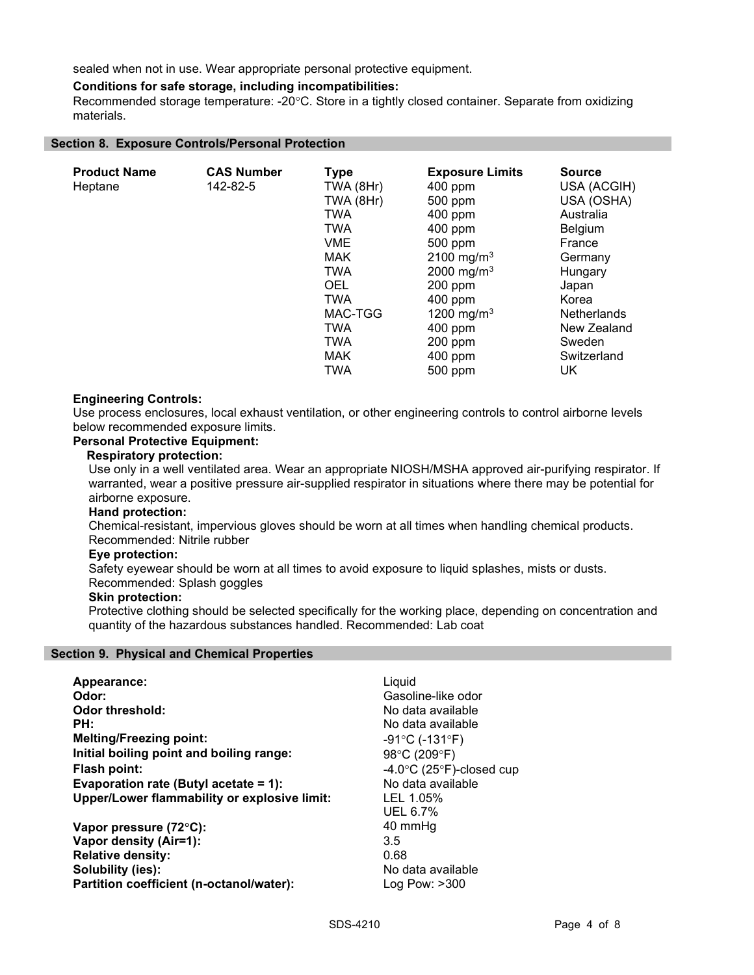sealed when not in use. Wear appropriate personal protective equipment.

# Conditions for safe storage, including incompatibilities:

Recommended storage temperature: -20°C. Store in a tightly closed container. Separate from oxidizing materials.

### Section 8. Exposure Controls/Personal Protection

| <b>Product Name</b><br>Heptane | <b>CAS Number</b><br>142-82-5 | <b>Type</b><br>TWA (8Hr)<br>TWA (8Hr)<br><b>TWA</b><br><b>TWA</b><br><b>VME</b><br><b>MAK</b><br><b>TWA</b><br><b>OEL</b><br><b>TWA</b><br>MAC-TGG | <b>Exposure Limits</b><br>$400$ ppm<br>500 ppm<br>$400$ ppm<br>$400$ ppm<br>500 ppm<br>2100 mg/m <sup>3</sup><br>2000 mg/m <sup>3</sup><br>200 ppm<br>400 ppm<br>1200 mg/m <sup>3</sup> | <b>Source</b><br>USA (ACGIH)<br>USA (OSHA)<br>Australia<br>Belgium<br>France<br>Germany<br>Hungary<br>Japan<br>Korea<br><b>Netherlands</b> |
|--------------------------------|-------------------------------|----------------------------------------------------------------------------------------------------------------------------------------------------|-----------------------------------------------------------------------------------------------------------------------------------------------------------------------------------------|--------------------------------------------------------------------------------------------------------------------------------------------|
|                                |                               |                                                                                                                                                    |                                                                                                                                                                                         |                                                                                                                                            |
|                                |                               | <b>TWA</b><br><b>TWA</b>                                                                                                                           | 400 ppm                                                                                                                                                                                 | New Zealand                                                                                                                                |
|                                |                               | <b>MAK</b>                                                                                                                                         | $200$ ppm<br>400 ppm                                                                                                                                                                    | Sweden<br>Switzerland                                                                                                                      |
|                                |                               | <b>TWA</b>                                                                                                                                         | 500 ppm                                                                                                                                                                                 | UK                                                                                                                                         |

### Engineering Controls:

Use process enclosures, local exhaust ventilation, or other engineering controls to control airborne levels below recommended exposure limits.

# Personal Protective Equipment:

#### Respiratory protection:

Use only in a well ventilated area. Wear an appropriate NIOSH/MSHA approved air-purifying respirator. If warranted, wear a positive pressure air-supplied respirator in situations where there may be potential for airborne exposure.

#### Hand protection:

Chemical-resistant, impervious gloves should be worn at all times when handling chemical products. Recommended: Nitrile rubber

#### Eye protection:

Safety eyewear should be worn at all times to avoid exposure to liquid splashes, mists or dusts.

# Recommended: Splash goggles

# Skin protection:

Protective clothing should be selected specifically for the working place, depending on concentration and quantity of the hazardous substances handled. Recommended: Lab coat

#### Section 9. Physical and Chemical Properties

| Appearance:                                  | Liguid                                       |
|----------------------------------------------|----------------------------------------------|
| Odor:                                        | Gasoline-like odor                           |
| Odor threshold:                              | No data available                            |
| PH:                                          | No data available                            |
| <b>Melting/Freezing point:</b>               | $-91^{\circ}$ C (-131 $^{\circ}$ F)          |
| Initial boiling point and boiling range:     | 98°C (209°F)                                 |
| <b>Flash point:</b>                          | -4.0 $\degree$ C (25 $\degree$ F)-closed cup |
| Evaporation rate (Butyl acetate = 1):        | No data available                            |
| Upper/Lower flammability or explosive limit: | LEL 1.05%                                    |
|                                              | UEL 6.7%                                     |
| Vapor pressure (72°C):                       | 40 mmHq                                      |
| Vapor density (Air=1):                       | 3.5                                          |
| <b>Relative density:</b>                     | 0.68                                         |
| Solubility (ies):                            | No data available                            |
| Partition coefficient (n-octanol/water):     | $\textsf{Log} \ \textsf{Pow}: \texttt{&}300$ |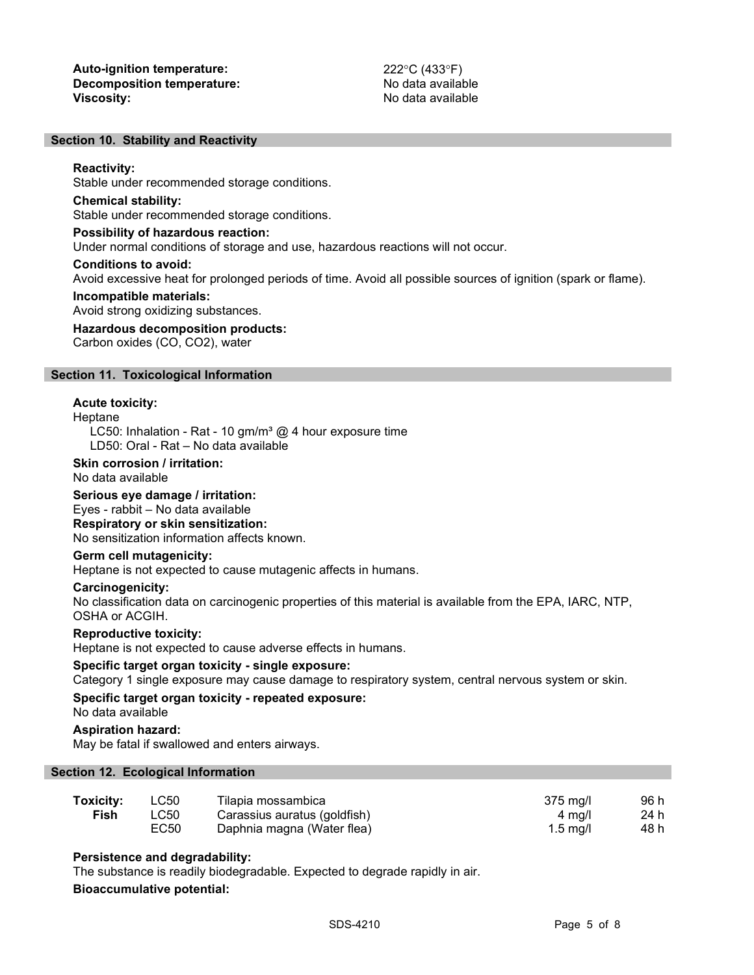#### Section 10. Stability and Reactivity

#### Reactivity:

Stable under recommended storage conditions.

#### Chemical stability:

Stable under recommended storage conditions.

#### Possibility of hazardous reaction:

Under normal conditions of storage and use, hazardous reactions will not occur.

#### Conditions to avoid:

Avoid excessive heat for prolonged periods of time. Avoid all possible sources of ignition (spark or flame).

#### Incompatible materials:

Avoid strong oxidizing substances.

### Hazardous decomposition products:

Carbon oxides (CO, CO2), water

#### Section 11. Toxicological Information

#### Acute toxicity:

#### Heptane

LC50: Inhalation - Rat - 10 gm/m<sup>3</sup>  $@$  4 hour exposure time LD50: Oral - Rat – No data available

#### Skin corrosion / irritation:

No data available

#### Serious eye damage / irritation:

### Eyes - rabbit – No data available

Respiratory or skin sensitization:

No sensitization information affects known.

### Germ cell mutagenicity:

Heptane is not expected to cause mutagenic affects in humans.

### Carcinogenicity:

No classification data on carcinogenic properties of this material is available from the EPA, IARC, NTP, OSHA or ACGIH.

#### Reproductive toxicity:

Heptane is not expected to cause adverse effects in humans.

#### Specific target organ toxicity - single exposure:

Category 1 single exposure may cause damage to respiratory system, central nervous system or skin.

# Specific target organ toxicity - repeated exposure:

No data available

# Aspiration hazard:

May be fatal if swallowed and enters airways.

# Section 12. Ecological Information

| Toxicity: | LC50 | Tilapia mossambica           | 375 ma/l           | 96 h |
|-----------|------|------------------------------|--------------------|------|
| Fish      | LC50 | Carassius auratus (goldfish) | 4 ma/l             | 24 h |
|           | EC50 | Daphnia magna (Water flea)   | $1.5 \text{ ma/l}$ | 48 h |

# Persistence and degradability:

The substance is readily biodegradable. Expected to degrade rapidly in air.

# Bioaccumulative potential: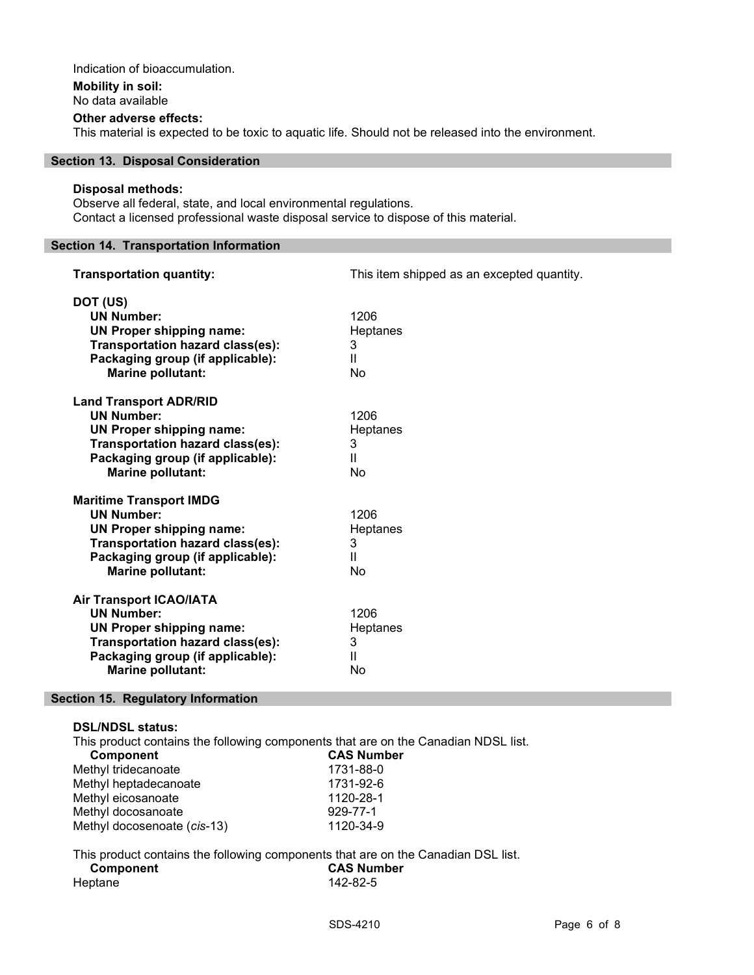# Indication of bioaccumulation.

# Mobility in soil:

No data available

### Other adverse effects:

This material is expected to be toxic to aquatic life. Should not be released into the environment.

# Section 13. Disposal Consideration

### Disposal methods:

Observe all federal, state, and local environmental regulations. Contact a licensed professional waste disposal service to dispose of this material.

# Section 14. Transportation Information

| <b>Transportation quantity:</b>                                                                                                                                                            | This item shipped as an excepted quantity.         |
|--------------------------------------------------------------------------------------------------------------------------------------------------------------------------------------------|----------------------------------------------------|
| DOT (US)<br><b>UN Number:</b><br><b>UN Proper shipping name:</b><br>Transportation hazard class(es):<br>Packaging group (if applicable):<br><b>Marine pollutant:</b>                       | 1206<br>Heptanes<br>3<br>Ш<br><b>No</b>            |
| <b>Land Transport ADR/RID</b><br><b>UN Number:</b><br><b>UN Proper shipping name:</b><br>Transportation hazard class(es):<br>Packaging group (if applicable):<br><b>Marine pollutant:</b>  | 1206<br>Heptanes<br>3<br>$\mathbf{H}$<br><b>No</b> |
| <b>Maritime Transport IMDG</b><br><b>UN Number:</b><br><b>UN Proper shipping name:</b><br>Transportation hazard class(es):<br>Packaging group (if applicable):<br><b>Marine pollutant:</b> | 1206<br>Heptanes<br>3<br>$\mathbf{H}$<br><b>No</b> |
| <b>Air Transport ICAO/IATA</b><br><b>UN Number:</b><br><b>UN Proper shipping name:</b><br>Transportation hazard class(es):<br>Packaging group (if applicable):<br><b>Marine pollutant:</b> | 1206<br>Heptanes<br>3<br>$\mathbf{H}$<br>No        |

# Section 15. Regulatory Information

DSL/NDSL status:

This product contains the following components that are on the Canadian NDSL list.

| <b>Component</b>            | <b>CAS Number</b> |
|-----------------------------|-------------------|
| Methyl tridecanoate         | 1731-88-0         |
| Methyl heptadecanoate       | 1731-92-6         |
| Methyl eicosanoate          | 1120-28-1         |
| Methyl docosanoate          | 929-77-1          |
| Methyl docosenoate (cis-13) | 1120-34-9         |

# This product contains the following components that are on the Canadian DSL list. Component CAS Number Heptane 142-82-5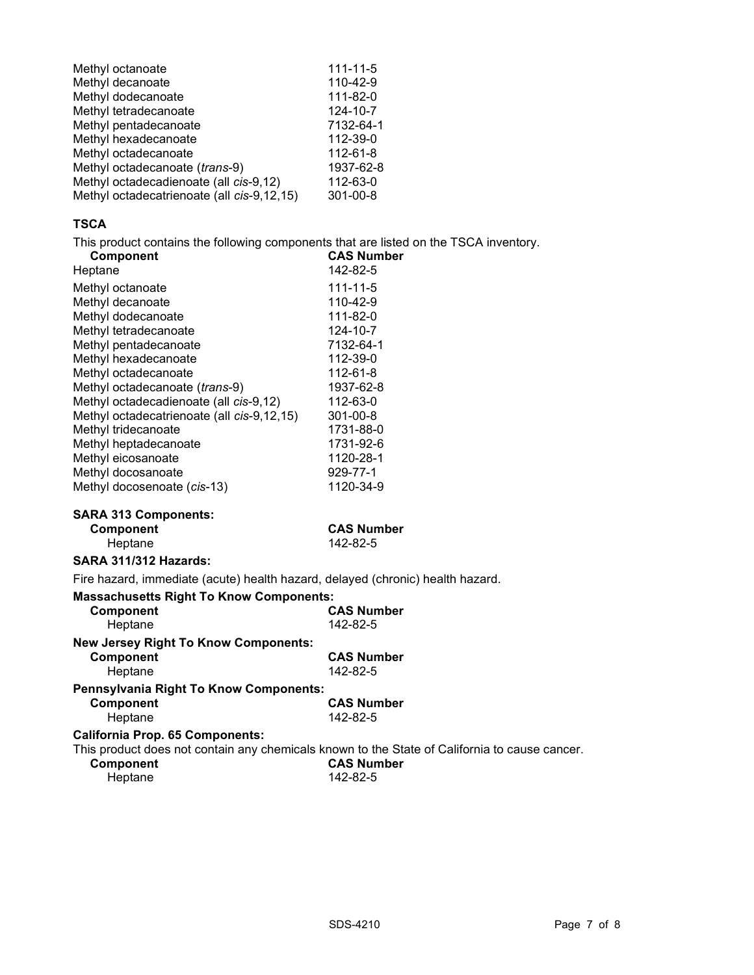| Methyl octanoate                           | $111 - 11 - 5$ |
|--------------------------------------------|----------------|
| Methyl decanoate                           | 110-42-9       |
| Methyl dodecanoate                         | 111-82-0       |
| Methyl tetradecanoate                      | 124-10-7       |
| Methyl pentadecanoate                      | 7132-64-1      |
| Methyl hexadecanoate                       | 112-39-0       |
| Methyl octadecanoate                       | 112-61-8       |
| Methyl octadecanoate (trans-9)             | 1937-62-8      |
| Methyl octadecadienoate (all cis-9,12)     | 112-63-0       |
| Methyl octadecatrienoate (all cis-9,12,15) | $301 - 00 - 8$ |
|                                            |                |

# TSCA

This product contains the following components that are listed on the TSCA inventory.

| Component                                                                      | <b>CAS Number</b>                                                                             |
|--------------------------------------------------------------------------------|-----------------------------------------------------------------------------------------------|
| Heptane                                                                        | 142-82-5                                                                                      |
| Methyl octanoate                                                               | $111 - 11 - 5$                                                                                |
| Methyl decanoate                                                               | 110-42-9                                                                                      |
| Methyl dodecanoate                                                             | 111-82-0                                                                                      |
| Methyl tetradecanoate                                                          | 124-10-7                                                                                      |
| Methyl pentadecanoate                                                          | 7132-64-1                                                                                     |
| Methyl hexadecanoate                                                           | 112-39-0                                                                                      |
| Methyl octadecanoate                                                           | 112-61-8                                                                                      |
| Methyl octadecanoate (trans-9)                                                 | 1937-62-8                                                                                     |
| Methyl octadecadienoate (all cis-9,12)                                         | 112-63-0                                                                                      |
| Methyl octadecatrienoate (all cis-9,12,15)                                     | 301-00-8                                                                                      |
| Methyl tridecanoate                                                            | 1731-88-0                                                                                     |
| Methyl heptadecanoate                                                          | 1731-92-6                                                                                     |
| Methyl eicosanoate                                                             | 1120-28-1                                                                                     |
| Methyl docosanoate                                                             | 929-77-1                                                                                      |
| Methyl docosenoate (cis-13)                                                    | 1120-34-9                                                                                     |
| <b>SARA 313 Components:</b>                                                    |                                                                                               |
|                                                                                |                                                                                               |
| Component                                                                      | <b>CAS Number</b>                                                                             |
| Heptane                                                                        | 142-82-5                                                                                      |
| <b>SARA 311/312 Hazards:</b>                                                   |                                                                                               |
| Fire hazard, immediate (acute) health hazard, delayed (chronic) health hazard. |                                                                                               |
| <b>Massachusetts Right To Know Components:</b>                                 |                                                                                               |
| Component                                                                      | <b>CAS Number</b>                                                                             |
| Heptane                                                                        | 142-82-5                                                                                      |
| <b>New Jersey Right To Know Components:</b>                                    |                                                                                               |
| Component                                                                      | <b>CAS Number</b>                                                                             |
| Heptane                                                                        | 142-82-5                                                                                      |
|                                                                                |                                                                                               |
| Pennsylvania Right To Know Components:                                         |                                                                                               |
| Component                                                                      | <b>CAS Number</b><br>142-82-5                                                                 |
| Heptane                                                                        |                                                                                               |
| <b>California Prop. 65 Components:</b>                                         |                                                                                               |
|                                                                                | This product does not contain any chemicals known to the State of California to cause cancer. |
| Component<br>Heptane                                                           | <b>CAS Number</b><br>142-82-5                                                                 |